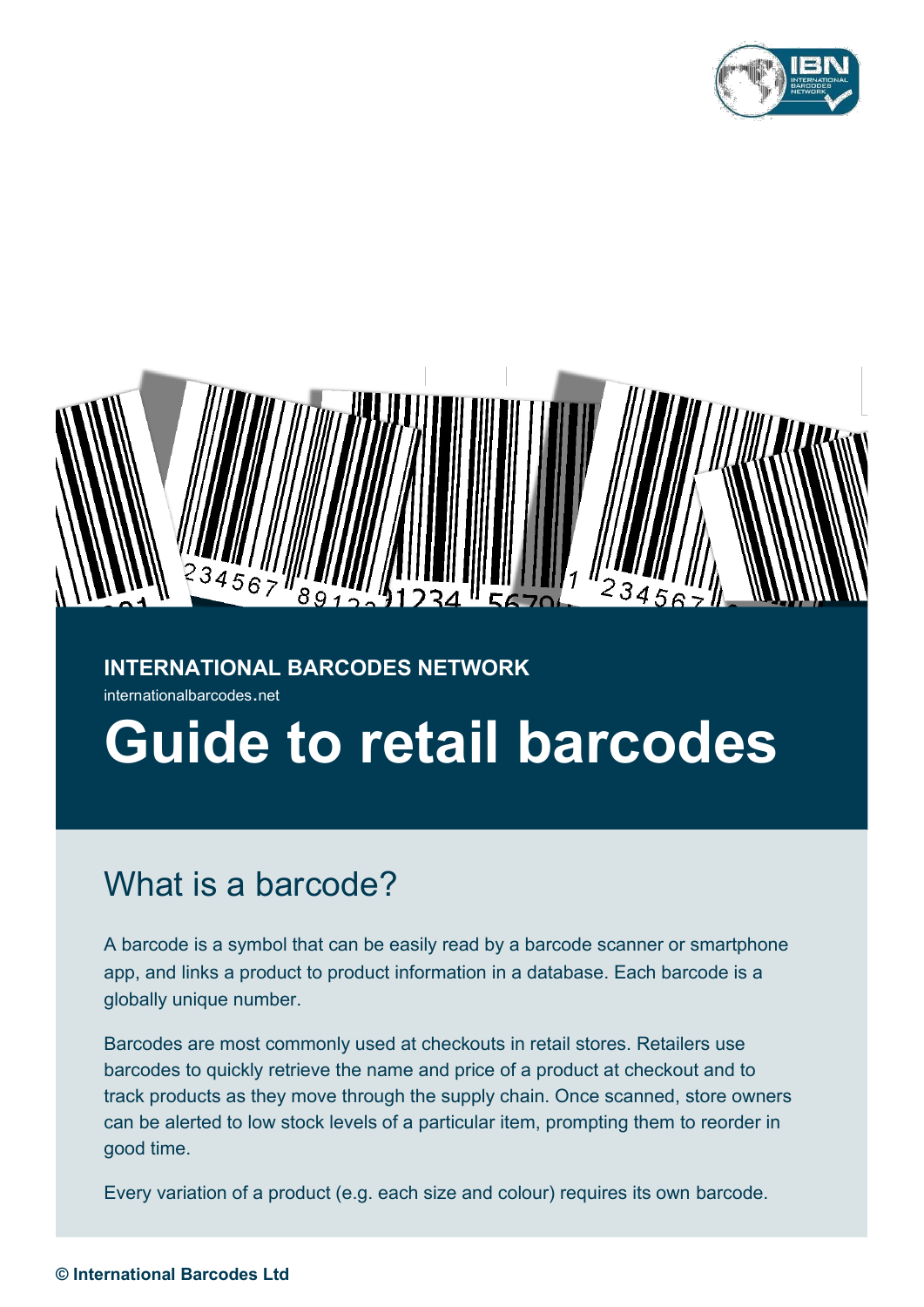



### **INTERNATIONAL BARCODES NETWORK**

internationalbarcodes.net

# **Guide to retail barcodes**

### What is a barcode?

A barcode is a symbol that can be easily read by a barcode scanner or smartphone app, and links a product to product information in a database. Each barcode is a globally unique number.

Barcodes are most commonly used at checkouts in retail stores. Retailers use barcodes to quickly retrieve the name and price of a product at checkout and to track products as they move through the supply chain. Once scanned, store owners can be alerted to low stock levels of a particular item, prompting them to reorder in good time.

Every variation of a product (e.g. each size and colour) requires its own barcode.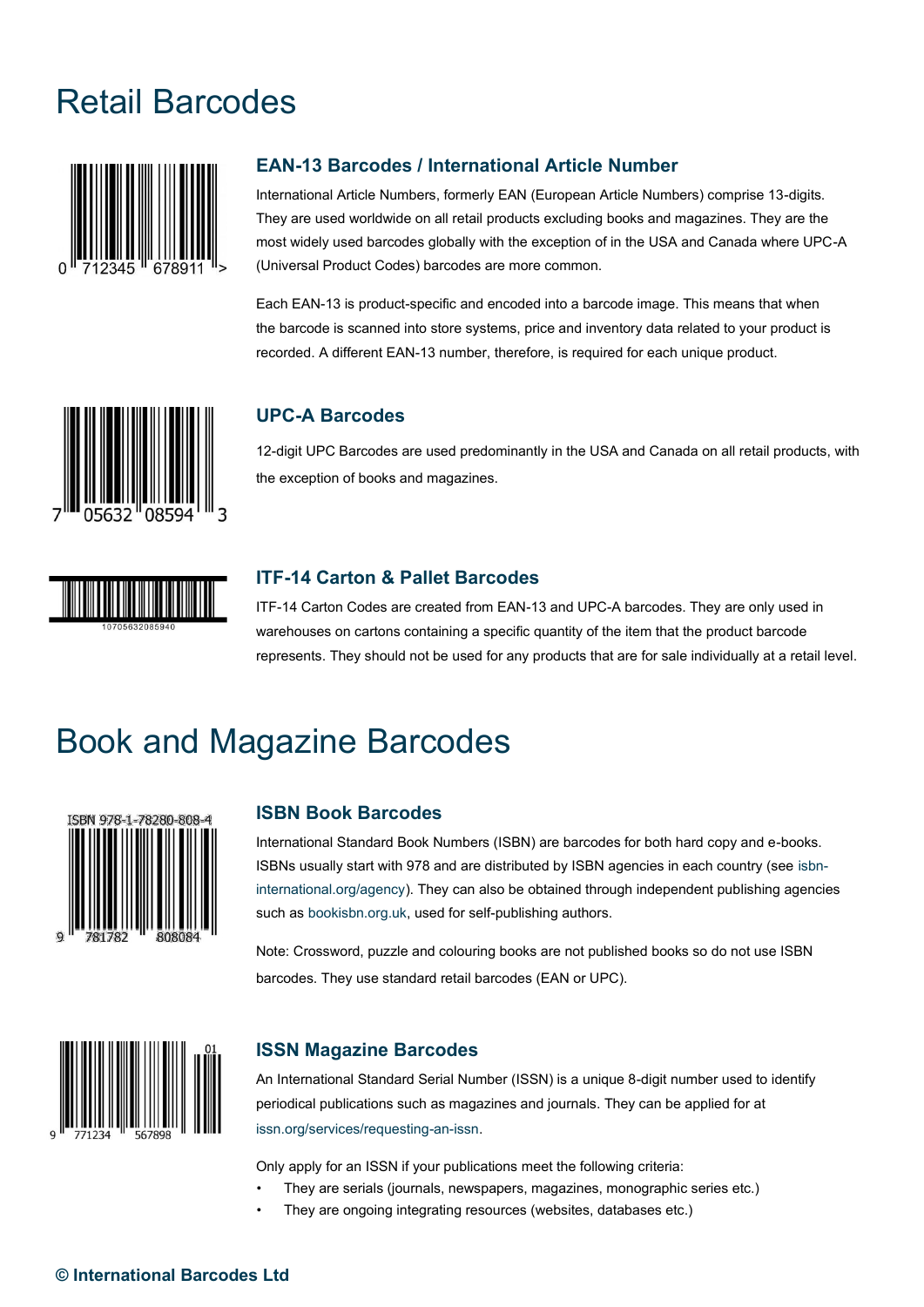## Retail Barcodes



#### **EAN-13 Barcodes / International Article Number**

International Article Numbers, formerly EAN (European Article Numbers) comprise 13-digits. They are used worldwide on all retail products excluding books and magazines. They are the most widely used barcodes globally with the exception of in the USA and Canada where UPC-A (Universal Product Codes) barcodes are more common.

Each EAN-13 is product-specific and encoded into a barcode image. This means that when the barcode is scanned into store systems, price and inventory data related to your product is recorded. A different EAN-13 number, therefore, is required for each unique product.



#### **UPC-A Barcodes**

12-digit UPC Barcodes are used predominantly in the USA and Canada on all retail products, with the exception of books and magazines.



#### **ITF-14 Carton & Pallet Barcodes**

ITF-14 Carton Codes are created from EAN-13 and UPC-A barcodes. They are only used in warehouses on cartons containing a specific quantity of the item that the product barcode represents. They should not be used for any products that are for sale individually at a retail level.

### Book and Magazine Barcodes



#### **ISBN Book Barcodes**

International Standard Book Numbers (ISBN) are barcodes for both hard copy and e-books. ISBNs usually start with 978 and are distributed by ISBN agencies in each country (see isbninternational.org/agency). They can also be obtained through independent publishing agencies such as bookisbn.org.uk, used for self-publishing authors.

Note: Crossword, puzzle and colouring books are not published books so do not use ISBN barcodes. They use standard retail barcodes (EAN or UPC).



#### **ISSN Magazine Barcodes**

An International Standard Serial Number (ISSN) is a unique 8-digit number used to identify periodical publications such as magazines and journals. They can be applied for at issn.org/services/requesting-an-issn.

Only apply for an ISSN if your publications meet the following criteria:

- They are serials (journals, newspapers, magazines, monographic series etc.)
- They are ongoing integrating resources (websites, databases etc.)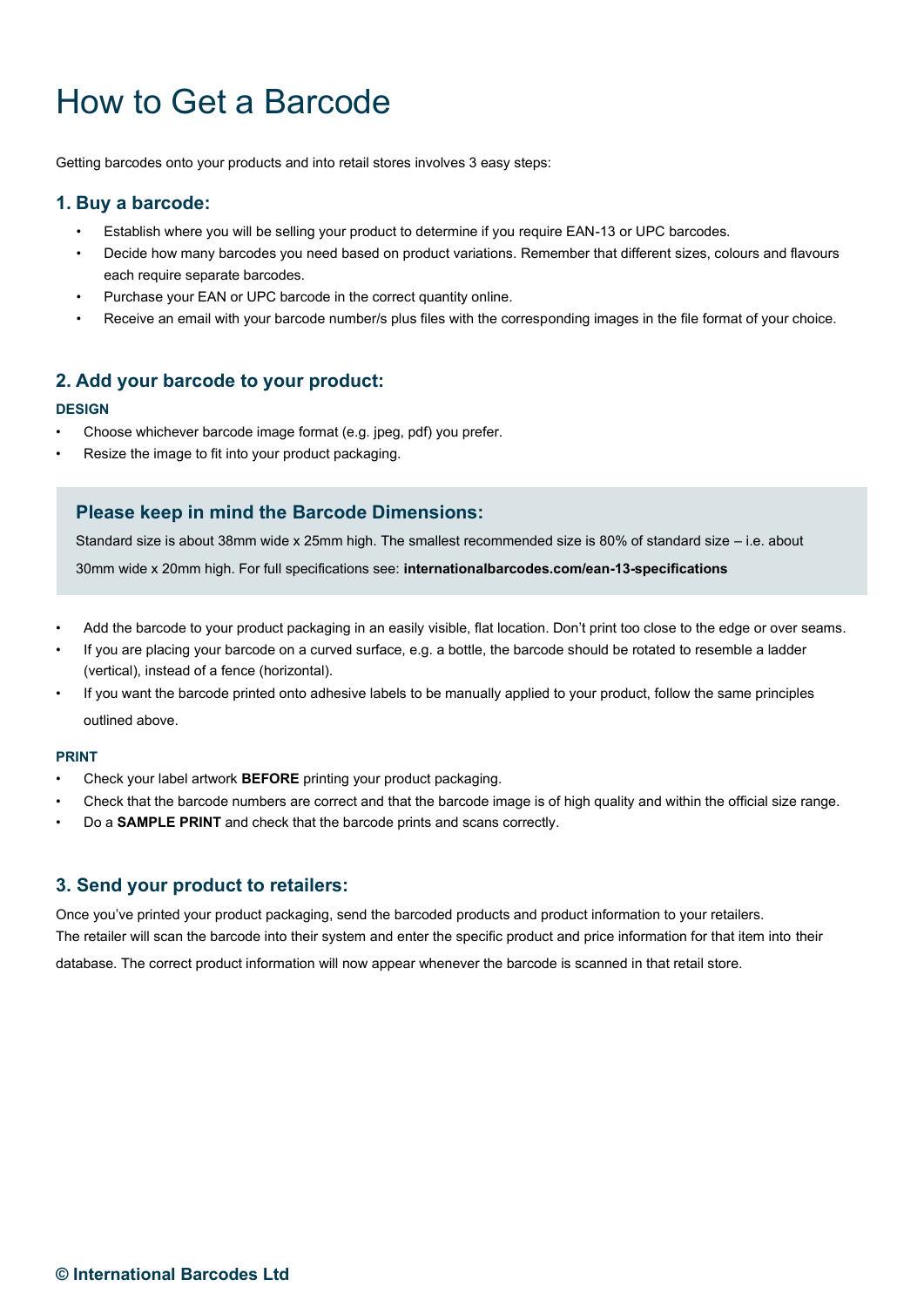# How to Get a Barcode

Getting barcodes onto your products and into retail stores involves 3 easy steps:

#### **1. Buy a barcode:**

- Establish where you will be selling your product to determine if you require EAN-13 or UPC barcodes.
- Decide how many barcodes you need based on product variations. Remember that different sizes, colours and flavours each require separate barcodes.
- Purchase your EAN or UPC barcode in the correct quantity online.
- Receive an email with your barcode number/s plus files with the corresponding images in the file format of your choice.

#### **2. Add your barcode to your product:**

#### **DESIGN**

- Choose whichever barcode image format (e.g. jpeg, pdf) you prefer.
- Resize the image to fit into your product packaging.

#### **Please keep in mind the Barcode Dimensions:**

Standard size is about 38mm wide x 25mm high. The smallest recommended size is 80% of standard size – i.e. about 30mm wide x 20mm high. For full specifications see: **internationalbarcodes.com/ean-13-specifications**

- Add the barcode to your product packaging in an easily visible, flat location. Don't print too close to the edge or over seams.
- If you are placing your barcode on a curved surface, e.g. a bottle, the barcode should be rotated to resemble a ladder (vertical), instead of a fence (horizontal).
- If you want the barcode printed onto adhesive labels to be manually applied to your product, follow the same principles outlined above.

#### **PRINT**

- Check your label artwork **BEFORE** printing your product packaging.
- Check that the barcode numbers are correct and that the barcode image is of high quality and within the official size range.
- Do a **SAMPLE PRINT** and check that the barcode prints and scans correctly.

#### **3. Send your product to retailers:**

Once you've printed your product packaging, send the barcoded products and product information to your retailers. The retailer will scan the barcode into their system and enter the specific product and price information for that item into their

database. The correct product information will now appear whenever the barcode is scanned in that retail store.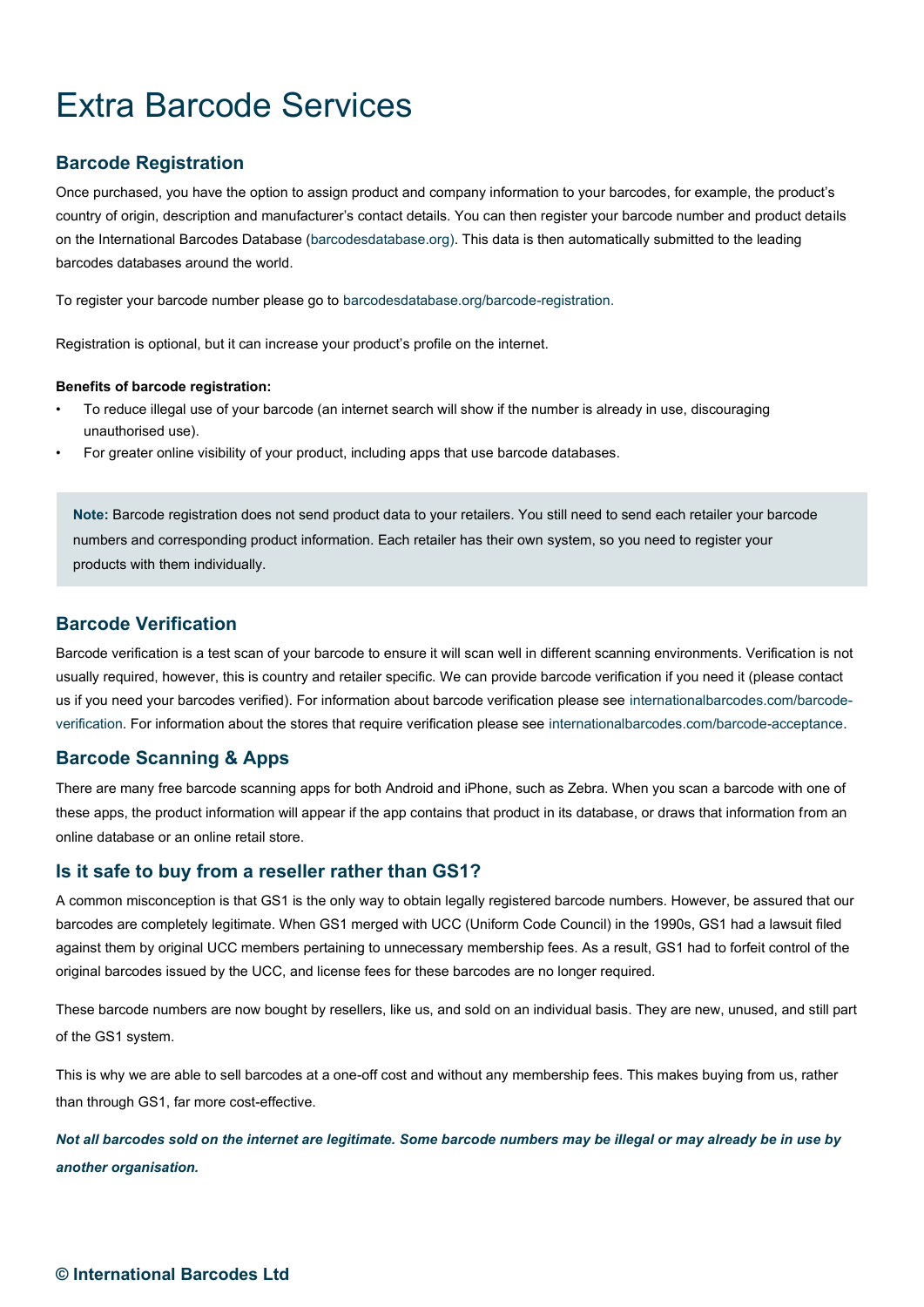# Extra Barcode Services

#### **Barcode Registration**

Once purchased, you have the option to assign product and company information to your barcodes, for example, the product's country of origin, description and manufacturer's contact details. You can then register your barcode number and product details on the International Barcodes Database (barcodesdatabase.org). This data is then automatically submitted to the leading barcodes databases around the world.

To register your barcode number please go to barcodesdatabase.org/barcode-registration.

Registration is optional, but it can increase your product's profile on the internet.

#### **Benefits of barcode registration:**

- To reduce illegal use of your barcode (an internet search will show if the number is already in use, discouraging unauthorised use).
- For greater online visibility of your product, including apps that use barcode databases.

**Note:** Barcode registration does not send product data to your retailers. You still need to send each retailer your barcode numbers and corresponding product information. Each retailer has their own system, so you need to register your products with them individually.

#### **Barcode Verification**

Barcode verification is a test scan of your barcode to ensure it will scan well in different scanning environments. Verification is not usually required, however, this is country and retailer specific. We can provide barcode verification if you need it (please contact us if you need your barcodes verified). For information about barcode verification please see internationalbarcodes.com/barcodeverification. For information about the stores that require verification please see internationalbarcodes.com/barcode-acceptance.

#### **Barcode Scanning & Apps**

There are many free barcode scanning apps for both Android and iPhone, such as Zebra. When you scan a barcode with one of these apps, the product information will appear if the app contains that product in its database, or draws that information from an online database or an online retail store.

#### **Is it safe to buy from a reseller rather than GS1?**

A common misconception is that GS1 is the only way to obtain legally registered barcode numbers. However, be assured that our barcodes are completely legitimate. When GS1 merged with UCC (Uniform Code Council) in the 1990s, GS1 had a lawsuit filed against them by original UCC members pertaining to unnecessary membership fees. As a result, GS1 had to forfeit control of the original barcodes issued by the UCC, and license fees for these barcodes are no longer required.

These barcode numbers are now bought by resellers, like us, and sold on an individual basis. They are new, unused, and still part of the GS1 system.

This is why we are able to sell barcodes at a one-off cost and without any membership fees. This makes buying from us, rather than through GS1, far more cost-effective.

*Not all barcodes sold on the internet are legitimate. Some barcode numbers may be illegal or may already be in use by another organisation.*